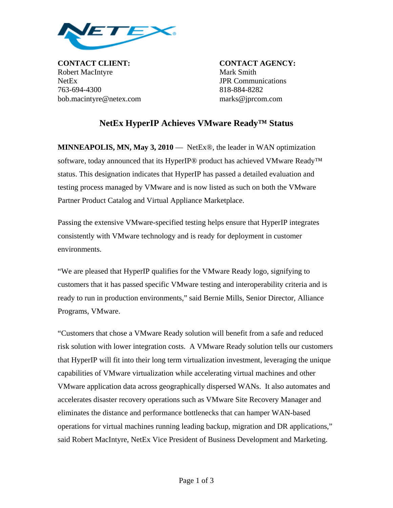

**CONTACT CLIENT: CONTACT AGENCY:** Robert MacIntyre Mark Smith NetEx JPR Communications 763-694-4300 818-884-8282 bob.macintyre@netex.com marks@jprcom.com

## **NetEx HyperIP Achieves VMware Ready™ Status**

**MINNEAPOLIS, MN, May 3, 2010** — NetEx®, the leader in WAN optimization software, today announced that its HyperIP® product has achieved VMware Ready™ status. This designation indicates that HyperIP has passed a detailed evaluation and testing process managed by VMware and is now listed as such on both the VMware Partner Product Catalog and Virtual Appliance Marketplace.

Passing the extensive VMware-specified testing helps ensure that HyperIP integrates consistently with VMware technology and is ready for deployment in customer environments.

"We are pleased that HyperIP qualifies for the VMware Ready logo, signifying to customers that it has passed specific VMware testing and interoperability criteria and is ready to run in production environments," said Bernie Mills, Senior Director, Alliance Programs, VMware.

"Customers that chose a VMware Ready solution will benefit from a safe and reduced risk solution with lower integration costs. A VMware Ready solution tells our customers that HyperIP will fit into their long term virtualization investment, leveraging the unique capabilities of VMware virtualization while accelerating virtual machines and other VMware application data across geographically dispersed WANs. It also automates and accelerates disaster recovery operations such as VMware Site Recovery Manager and eliminates the distance and performance bottlenecks that can hamper WAN-based operations for virtual machines running leading backup, migration and DR applications," said Robert MacIntyre, NetEx Vice President of Business Development and Marketing.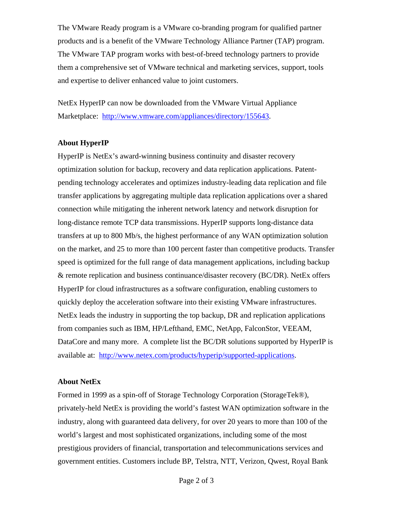The VMware Ready program is a VMware co-branding program for qualified partner products and is a benefit of the VMware Technology Alliance Partner (TAP) program. The VMware TAP program works with best-of-breed technology partners to provide them a comprehensive set of VMware technical and marketing services, support, tools and expertise to deliver enhanced value to joint customers.

NetEx HyperIP can now be downloaded from the VMware Virtual Appliance Marketplace: <http://www.vmware.com/appliances/directory/155643>.

## **About HyperIP**

HyperIP is NetEx's award-winning business continuity and disaster recovery optimization solution for backup, recovery and data replication applications. Patentpending technology accelerates and optimizes industry-leading data replication and file transfer applications by aggregating multiple data replication applications over a shared connection while mitigating the inherent network latency and network disruption for long-distance remote TCP data transmissions. HyperIP supports long-distance data transfers at up to 800 Mb/s, the highest performance of any WAN optimization solution on the market, and 25 to more than 100 percent faster than competitive products. Transfer speed is optimized for the full range of data management applications, including backup & remote replication and business continuance/disaster recovery (BC/DR). NetEx offers HyperIP for cloud infrastructures as a software configuration, enabling customers to quickly deploy the acceleration software into their existing VMware infrastructures. NetEx leads the industry in supporting the top backup, DR and replication applications from companies such as IBM, HP/Lefthand, EMC, NetApp, FalconStor, VEEAM, DataCore and many more. A complete list the BC/DR solutions supported by HyperIP is available at: [http://www.netex.com/products/hyperip/supported-applications.](http://www.netex.com/products/hyperip/supported-applications)

## **About NetEx**

Formed in 1999 as a spin-off of Storage Technology Corporation (StorageTek®), privately-held NetEx is providing the world's fastest WAN optimization software in the industry, along with guaranteed data delivery, for over 20 years to more than 100 of the world's largest and most sophisticated organizations, including some of the most prestigious providers of financial, transportation and telecommunications services and government entities. Customers include BP, Telstra, NTT, Verizon, Qwest, Royal Bank